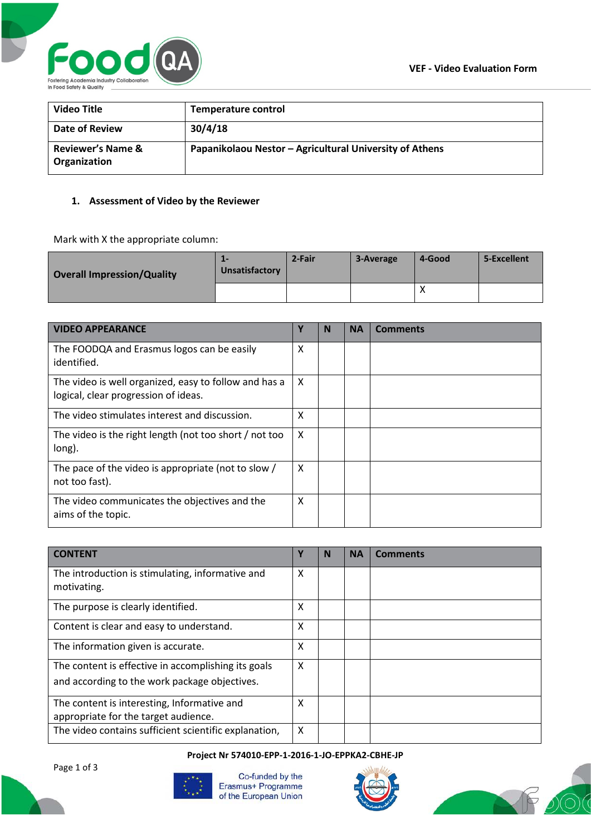

| <b>Video Title</b>                           | <b>Temperature control</b>                              |
|----------------------------------------------|---------------------------------------------------------|
| Date of Review                               | 30/4/18                                                 |
| <b>Reviewer's Name &amp;</b><br>Organization | Papanikolaou Nestor - Agricultural University of Athens |

## **1. Assessment of Video by the Reviewer**

Mark with X the appropriate column:

| <b>Overall Impression/Quality</b> | --<br>Unsatisfactory | 2-Fair | 3-Average | 4-Good | 5-Excellent |
|-----------------------------------|----------------------|--------|-----------|--------|-------------|
|                                   |                      |        |           |        |             |

| <b>VIDEO APPEARANCE</b>                                                                       | Υ | N | <b>NA</b> | <b>Comments</b> |
|-----------------------------------------------------------------------------------------------|---|---|-----------|-----------------|
| The FOODQA and Erasmus logos can be easily<br>identified.                                     | X |   |           |                 |
| The video is well organized, easy to follow and has a<br>logical, clear progression of ideas. | X |   |           |                 |
| The video stimulates interest and discussion.                                                 | X |   |           |                 |
| The video is the right length (not too short / not too<br>long).                              | X |   |           |                 |
| The pace of the video is appropriate (not to slow /<br>not too fast).                         | X |   |           |                 |
| The video communicates the objectives and the<br>aims of the topic.                           | X |   |           |                 |

| <b>CONTENT</b>                                                                                       | Y | N | <b>NA</b> | Comments |
|------------------------------------------------------------------------------------------------------|---|---|-----------|----------|
| The introduction is stimulating, informative and<br>motivating.                                      | X |   |           |          |
| The purpose is clearly identified.                                                                   | X |   |           |          |
| Content is clear and easy to understand.                                                             | X |   |           |          |
| The information given is accurate.                                                                   | X |   |           |          |
| The content is effective in accomplishing its goals<br>and according to the work package objectives. | X |   |           |          |
| The content is interesting, Informative and<br>appropriate for the target audience.                  | X |   |           |          |
| The video contains sufficient scientific explanation,                                                | X |   |           |          |

#### **Project Nr 574010-EPP-1-2016-1-JO-EPPKA2-CBHE-JP**

Page 1 of 3



Co-funded by the Erasmus+ Programme of the European Union



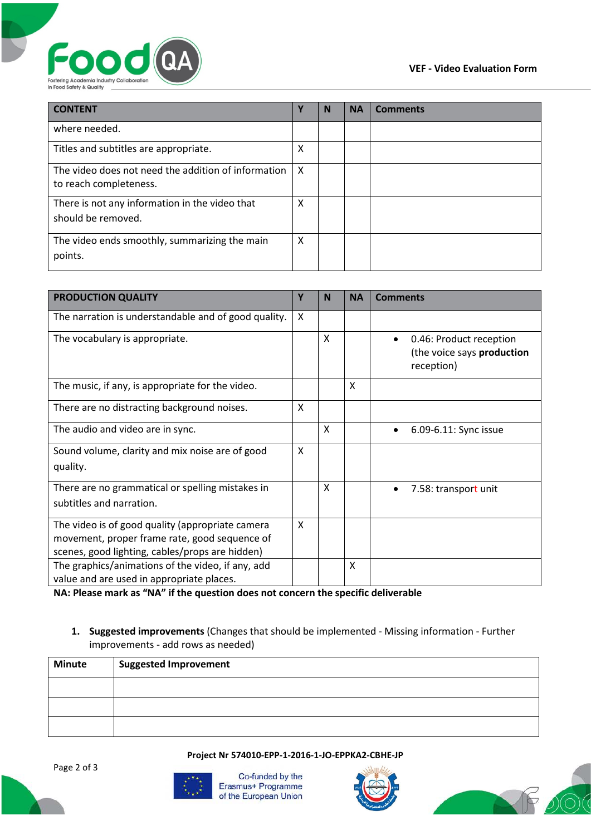



| <b>CONTENT</b>                                                                | Υ | N | <b>NA</b> | <b>Comments</b> |
|-------------------------------------------------------------------------------|---|---|-----------|-----------------|
| where needed.                                                                 |   |   |           |                 |
| Titles and subtitles are appropriate.                                         | x |   |           |                 |
| The video does not need the addition of information<br>to reach completeness. | x |   |           |                 |
| There is not any information in the video that<br>should be removed.          | Χ |   |           |                 |
| The video ends smoothly, summarizing the main<br>points.                      | x |   |           |                 |

| <b>PRODUCTION QUALITY</b>                                                                                                                            | Υ | N | <b>NA</b> | <b>Comments</b>                                                     |
|------------------------------------------------------------------------------------------------------------------------------------------------------|---|---|-----------|---------------------------------------------------------------------|
| The narration is understandable and of good quality.                                                                                                 | X |   |           |                                                                     |
| The vocabulary is appropriate.                                                                                                                       |   | X |           | 0.46: Product reception<br>(the voice says production<br>reception) |
| The music, if any, is appropriate for the video.                                                                                                     |   |   | X         |                                                                     |
| There are no distracting background noises.                                                                                                          | X |   |           |                                                                     |
| The audio and video are in sync.                                                                                                                     |   | X |           | 6.09-6.11: Sync issue                                               |
| Sound volume, clarity and mix noise are of good<br>quality.                                                                                          | X |   |           |                                                                     |
| There are no grammatical or spelling mistakes in<br>subtitles and narration.                                                                         |   | X |           | 7.58: transport unit                                                |
| The video is of good quality (appropriate camera<br>movement, proper frame rate, good sequence of<br>scenes, good lighting, cables/props are hidden) | X |   |           |                                                                     |
| The graphics/animations of the video, if any, add<br>value and are used in appropriate places.                                                       |   |   | X         |                                                                     |

**NA: Please mark as "NA" if the question does not concern the specific deliverable**

# **1. Suggested improvements** (Changes that should be implemented - Missing information - Further improvements - add rows as needed)

| <b>Minute</b> | <b>Suggested Improvement</b> |
|---------------|------------------------------|
|               |                              |
|               |                              |
|               |                              |

## **Project Nr 574010-EPP-1-2016-1-JO-EPPKA2-CBHE-JP**



Co-funded by the Erasmus+ Programme of the European Union